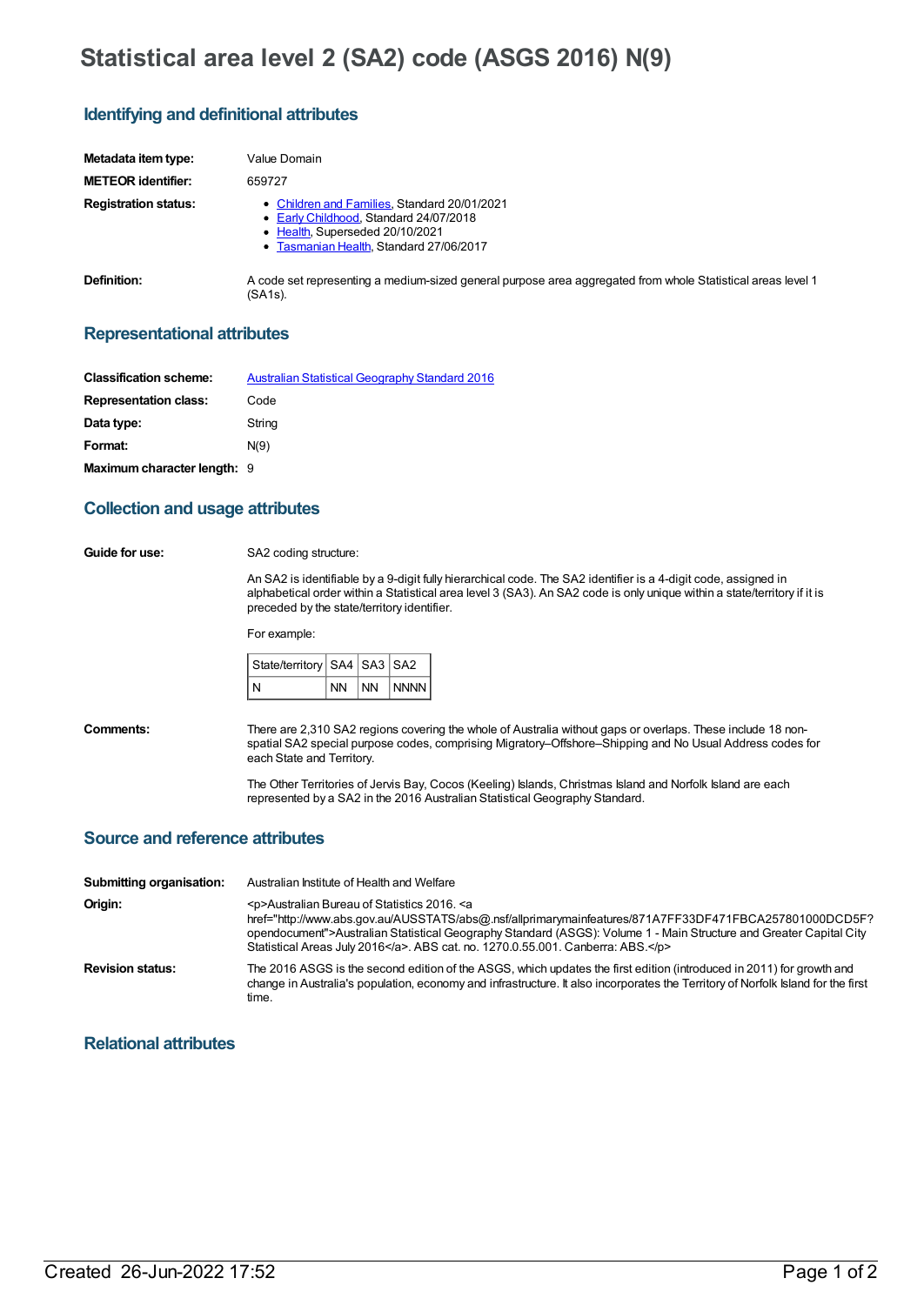# **Statistical area level 2 (SA2) code (ASGS 2016) N(9)**

# **Identifying and definitional attributes**

| Metadata item type:         | Value Domain                                                                                                                                                         |
|-----------------------------|----------------------------------------------------------------------------------------------------------------------------------------------------------------------|
| <b>METEOR</b> identifier:   | 659727                                                                                                                                                               |
| <b>Registration status:</b> | • Children and Families, Standard 20/01/2021<br>• Early Childhood, Standard 24/07/2018<br>• Health, Superseded 20/10/2021<br>• Tasmanian Health, Standard 27/06/2017 |
| Definition:                 | A code set representing a medium-sized general purpose area aggregated from whole Statistical areas level 1<br>(SA1s).                                               |

#### **Representational attributes**

| <b>Classification scheme:</b> | <b>Australian Statistical Geography Standard 2016</b> |
|-------------------------------|-------------------------------------------------------|
| <b>Representation class:</b>  | Code                                                  |
| Data type:                    | String                                                |
| Format:                       | N(9)                                                  |
| Maximum character length: 9   |                                                       |

## **Collection and usage attributes**

**Guide for use:** SA2 coding structure:

An SA2 is identifiable by a 9-digit fully hierarchical code. The SA2 identifier is a 4-digit code, assigned in alphabetical order within a Statistical area level 3 (SA3). An SA2 code is only unique within a state/territory if it is preceded by the state/territory identifier.

For example:

| State/territory   SA4   SA3   SA2 |           |       |             |
|-----------------------------------|-----------|-------|-------------|
|                                   | <b>NN</b> | INN - | <b>NNNN</b> |

**Comments:** There are 2,310 SA2 regions covering the whole of Australia without gaps or overlaps. These include 18 nonspatial SA2 special purpose codes, comprising Migratory–Offshore–Shipping and No Usual Address codes for each State and Territory.

> The Other Territories of Jervis Bay, Cocos (Keeling) Islands, Christmas Island and Norfolk Island are each represented by a SA2 in the 2016 Australian Statistical Geography Standard.

### **Source and reference attributes**

| Submitting organisation: | Australian Institute of Health and Welfare                                                                                                                                                                                                                                                                                                                             |
|--------------------------|------------------------------------------------------------------------------------------------------------------------------------------------------------------------------------------------------------------------------------------------------------------------------------------------------------------------------------------------------------------------|
| Origin:                  | <p>Australian Bureau of Statistics 2016. <a<br>href="http://www.abs.gov.au/AUSSTATS/abs@.nsf/allprimarymainfeatures/871A7FF33DF471FBCA257801000DCD5F?<br/>opendocument"&gt;Australian Statistical Geography Standard (ASGS): Volume 1 - Main Structure and Greater Capital City<br/>Statistical Areas July 2016. ABS cat. no. 1270.0.55.001. Canberra: ABS.</a<br></p> |
| <b>Revision status:</b>  | The 2016 ASGS is the second edition of the ASGS, which updates the first edition (introduced in 2011) for growth and<br>change in Australia's population, economy and infrastructure. It also incorporates the Territory of Norfolk Island for the first<br>time.                                                                                                      |

# **Relational attributes**